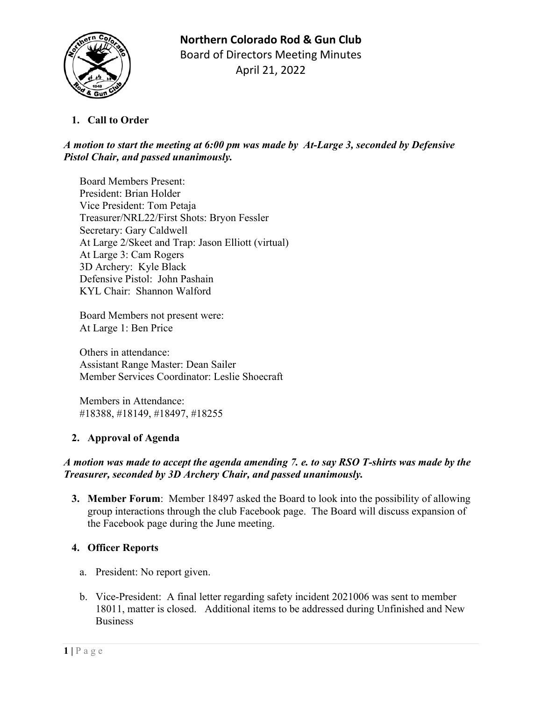

# **1. Call to Order**

# *A motion to start the meeting at 6:00 pm was made by At-Large 3, seconded by Defensive Pistol Chair, and passed unanimously.*

Board Members Present: President: Brian Holder Vice President: Tom Petaja Treasurer/NRL22/First Shots: Bryon Fessler Secretary: Gary Caldwell At Large 2/Skeet and Trap: Jason Elliott (virtual) At Large 3: Cam Rogers 3D Archery: Kyle Black Defensive Pistol: John Pashain KYL Chair: Shannon Walford

Board Members not present were: At Large 1: Ben Price

Others in attendance: Assistant Range Master: Dean Sailer Member Services Coordinator: Leslie Shoecraft

Members in Attendance: #18388, #18149, #18497, #18255

# **2. Approval of Agenda**

## *A motion was made to accept the agenda amending 7. e. to say RSO T-shirts was made by the Treasurer, seconded by 3D Archery Chair, and passed unanimously.*

**3. Member Forum**: Member 18497 asked the Board to look into the possibility of allowing group interactions through the club Facebook page. The Board will discuss expansion of the Facebook page during the June meeting.

# **4. Officer Reports**

- a. President: No report given.
- b. Vice-President: A final letter regarding safety incident 2021006 was sent to member 18011, matter is closed. Additional items to be addressed during Unfinished and New Business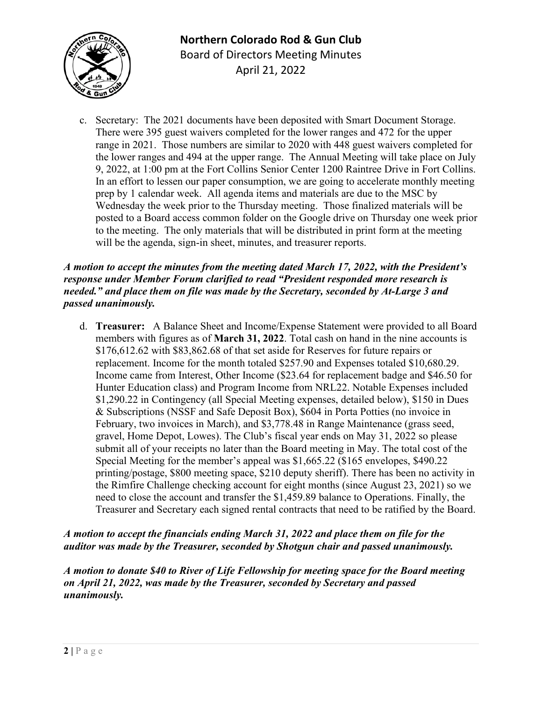

c. Secretary: The 2021 documents have been deposited with Smart Document Storage. There were 395 guest waivers completed for the lower ranges and 472 for the upper range in 2021. Those numbers are similar to 2020 with 448 guest waivers completed for the lower ranges and 494 at the upper range. The Annual Meeting will take place on July 9, 2022, at 1:00 pm at the Fort Collins Senior Center 1200 Raintree Drive in Fort Collins. In an effort to lessen our paper consumption, we are going to accelerate monthly meeting prep by 1 calendar week. All agenda items and materials are due to the MSC by Wednesday the week prior to the Thursday meeting. Those finalized materials will be posted to a Board access common folder on the Google drive on Thursday one week prior to the meeting. The only materials that will be distributed in print form at the meeting will be the agenda, sign-in sheet, minutes, and treasurer reports.

## *A motion to accept the minutes from the meeting dated March 17, 2022, with the President's response under Member Forum clarified to read "President responded more research is needed." and place them on file was made by the Secretary, seconded by At-Large 3 and passed unanimously.*

d. **Treasurer:** A Balance Sheet and Income/Expense Statement were provided to all Board members with figures as of **March 31, 2022**. Total cash on hand in the nine accounts is \$176,612.62 with \$83,862.68 of that set aside for Reserves for future repairs or replacement. Income for the month totaled \$257.90 and Expenses totaled \$10,680.29. Income came from Interest, Other Income (\$23.64 for replacement badge and \$46.50 for Hunter Education class) and Program Income from NRL22. Notable Expenses included \$1,290.22 in Contingency (all Special Meeting expenses, detailed below), \$150 in Dues & Subscriptions (NSSF and Safe Deposit Box), \$604 in Porta Potties (no invoice in February, two invoices in March), and \$3,778.48 in Range Maintenance (grass seed, gravel, Home Depot, Lowes). The Club's fiscal year ends on May 31, 2022 so please submit all of your receipts no later than the Board meeting in May. The total cost of the Special Meeting for the member's appeal was \$1,665.22 (\$165 envelopes, \$490.22 printing/postage, \$800 meeting space, \$210 deputy sheriff). There has been no activity in the Rimfire Challenge checking account for eight months (since August 23, 2021) so we need to close the account and transfer the \$1,459.89 balance to Operations. Finally, the Treasurer and Secretary each signed rental contracts that need to be ratified by the Board.

# *A motion to accept the financials ending March 31, 2022 and place them on file for the auditor was made by the Treasurer, seconded by Shotgun chair and passed unanimously.*

*A motion to donate \$40 to River of Life Fellowship for meeting space for the Board meeting on April 21, 2022, was made by the Treasurer, seconded by Secretary and passed unanimously.*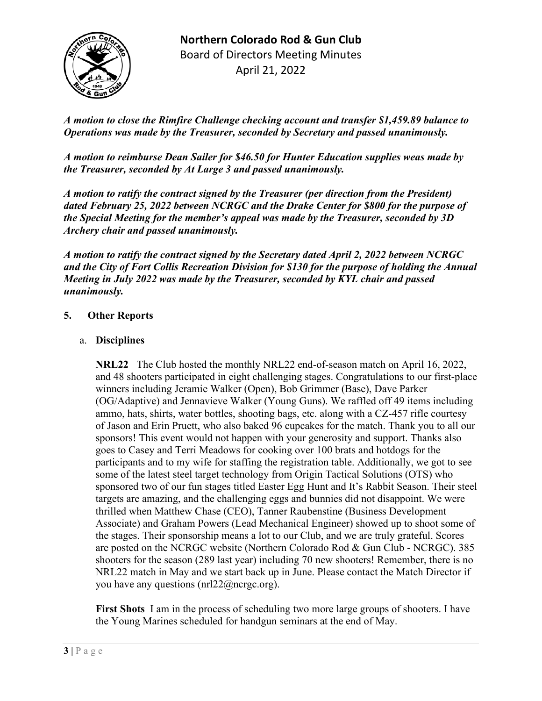

*A motion to close the Rimfire Challenge checking account and transfer \$1,459.89 balance to Operations was made by the Treasurer, seconded by Secretary and passed unanimously.*

*A motion to reimburse Dean Sailer for \$46.50 for Hunter Education supplies weas made by the Treasurer, seconded by At Large 3 and passed unanimously.*

*A motion to ratify the contract signed by the Treasurer (per direction from the President) dated February 25, 2022 between NCRGC and the Drake Center for \$800 for the purpose of the Special Meeting for the member's appeal was made by the Treasurer, seconded by 3D Archery chair and passed unanimously.*

*A motion to ratify the contract signed by the Secretary dated April 2, 2022 between NCRGC and the City of Fort Collis Recreation Division for \$130 for the purpose of holding the Annual Meeting in July 2022 was made by the Treasurer, seconded by KYL chair and passed unanimously.*

## **5. Other Reports**

## a. **Disciplines**

**NRL22** The Club hosted the monthly NRL22 end-of-season match on April 16, 2022, and 48 shooters participated in eight challenging stages. Congratulations to our first-place winners including Jeramie Walker (Open), Bob Grimmer (Base), Dave Parker (OG/Adaptive) and Jennavieve Walker (Young Guns). We raffled off 49 items including ammo, hats, shirts, water bottles, shooting bags, etc. along with a CZ-457 rifle courtesy of Jason and Erin Pruett, who also baked 96 cupcakes for the match. Thank you to all our sponsors! This event would not happen with your generosity and support. Thanks also goes to Casey and Terri Meadows for cooking over 100 brats and hotdogs for the participants and to my wife for staffing the registration table. Additionally, we got to see some of the latest steel target technology from Origin Tactical Solutions (OTS) who sponsored two of our fun stages titled Easter Egg Hunt and It's Rabbit Season. Their steel targets are amazing, and the challenging eggs and bunnies did not disappoint. We were thrilled when Matthew Chase (CEO), Tanner Raubenstine (Business Development Associate) and Graham Powers (Lead Mechanical Engineer) showed up to shoot some of the stages. Their sponsorship means a lot to our Club, and we are truly grateful. Scores are posted on the NCRGC website (Northern Colorado Rod & Gun Club - NCRGC). 385 shooters for the season (289 last year) including 70 new shooters! Remember, there is no NRL22 match in May and we start back up in June. Please contact the Match Director if you have any questions ( $\text{nnl22}(\hat{\omega})$ ncrgc.org).

**First Shots** I am in the process of scheduling two more large groups of shooters. I have the Young Marines scheduled for handgun seminars at the end of May.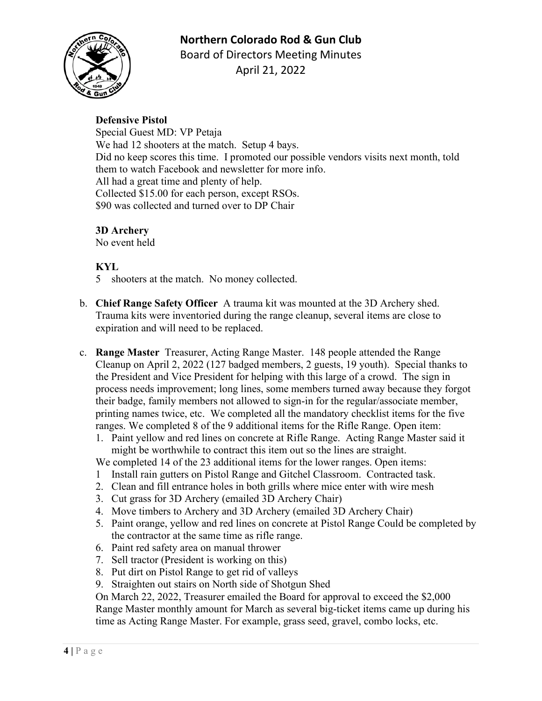# **Northern Colorado Rod & Gun Club**



Board of Directors Meeting Minutes April 21, 2022

### **Defensive Pistol**

Special Guest MD: VP Petaja We had 12 shooters at the match. Setup 4 bays. Did no keep scores this time. I promoted our possible vendors visits next month, told them to watch Facebook and newsletter for more info. All had a great time and plenty of help. Collected \$15.00 for each person, except RSOs. \$90 was collected and turned over to DP Chair

## **3D Archery**

No event held

## **KYL**

- 5 shooters at the match. No money collected.
- b. **Chief Range Safety Officer** A trauma kit was mounted at the 3D Archery shed. Trauma kits were inventoried during the range cleanup, several items are close to expiration and will need to be replaced.
- c. **Range Master** Treasurer, Acting Range Master. 148 people attended the Range Cleanup on April 2, 2022 (127 badged members, 2 guests, 19 youth). Special thanks to the President and Vice President for helping with this large of a crowd. The sign in process needs improvement; long lines, some members turned away because they forgot their badge, family members not allowed to sign-in for the regular/associate member, printing names twice, etc. We completed all the mandatory checklist items for the five ranges. We completed 8 of the 9 additional items for the Rifle Range. Open item:
	- 1. Paint yellow and red lines on concrete at Rifle Range. Acting Range Master said it might be worthwhile to contract this item out so the lines are straight.
	- We completed 14 of the 23 additional items for the lower ranges. Open items:
	- 1 Install rain gutters on Pistol Range and Gitchel Classroom. Contracted task.
	- 2. Clean and fill entrance holes in both grills where mice enter with wire mesh
	- 3. Cut grass for 3D Archery (emailed 3D Archery Chair)
	- 4. Move timbers to Archery and 3D Archery (emailed 3D Archery Chair)
	- 5. Paint orange, yellow and red lines on concrete at Pistol Range Could be completed by the contractor at the same time as rifle range.
	- 6. Paint red safety area on manual thrower
	- 7. Sell tractor (President is working on this)
	- 8. Put dirt on Pistol Range to get rid of valleys
	- 9. Straighten out stairs on North side of Shotgun Shed

On March 22, 2022, Treasurer emailed the Board for approval to exceed the \$2,000 Range Master monthly amount for March as several big-ticket items came up during his time as Acting Range Master. For example, grass seed, gravel, combo locks, etc.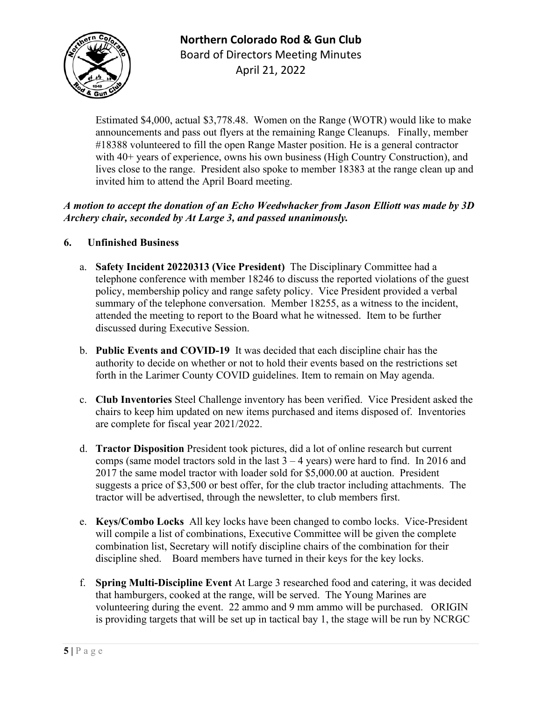**Northern Colorado Rod & Gun Club**



Board of Directors Meeting Minutes April 21, 2022

Estimated \$4,000, actual \$3,778.48. Women on the Range (WOTR) would like to make announcements and pass out flyers at the remaining Range Cleanups. Finally, member #18388 volunteered to fill the open Range Master position. He is a general contractor with 40+ years of experience, owns his own business (High Country Construction), and lives close to the range. President also spoke to member 18383 at the range clean up and invited him to attend the April Board meeting.

# *A motion to accept the donation of an Echo Weedwhacker from Jason Elliott was made by 3D Archery chair, seconded by At Large 3, and passed unanimously.*

- **6. Unfinished Business**
	- a. **Safety Incident 20220313 (Vice President)** The Disciplinary Committee had a telephone conference with member 18246 to discuss the reported violations of the guest policy, membership policy and range safety policy. Vice President provided a verbal summary of the telephone conversation. Member 18255, as a witness to the incident, attended the meeting to report to the Board what he witnessed. Item to be further discussed during Executive Session.
	- b. **Public Events and COVID-19** It was decided that each discipline chair has the authority to decide on whether or not to hold their events based on the restrictions set forth in the Larimer County COVID guidelines. Item to remain on May agenda.
	- c. **Club Inventories** Steel Challenge inventory has been verified. Vice President asked the chairs to keep him updated on new items purchased and items disposed of. Inventories are complete for fiscal year 2021/2022.
	- d. **Tractor Disposition** President took pictures, did a lot of online research but current comps (same model tractors sold in the last  $3 - 4$  years) were hard to find. In 2016 and 2017 the same model tractor with loader sold for \$5,000.00 at auction. President suggests a price of \$3,500 or best offer, for the club tractor including attachments. The tractor will be advertised, through the newsletter, to club members first.
	- e. **Keys/Combo Locks** All key locks have been changed to combo locks. Vice-President will compile a list of combinations, Executive Committee will be given the complete combination list, Secretary will notify discipline chairs of the combination for their discipline shed. Board members have turned in their keys for the key locks.
	- f. **Spring Multi-Discipline Event** At Large 3 researched food and catering, it was decided that hamburgers, cooked at the range, will be served. The Young Marines are volunteering during the event. 22 ammo and 9 mm ammo will be purchased. ORIGIN is providing targets that will be set up in tactical bay 1, the stage will be run by NCRGC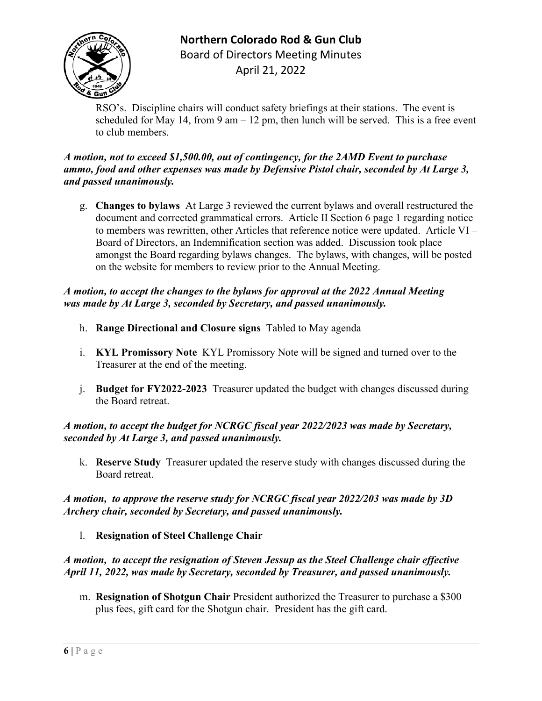

**Northern Colorado Rod & Gun Club** Board of Directors Meeting Minutes April 21, 2022

RSO's. Discipline chairs will conduct safety briefings at their stations. The event is scheduled for May 14, from 9 am  $-12$  pm, then lunch will be served. This is a free event to club members.

### *A motion, not to exceed \$1,500.00, out of contingency, for the 2AMD Event to purchase ammo, food and other expenses was made by Defensive Pistol chair, seconded by At Large 3, and passed unanimously.*

g. **Changes to bylaws** At Large 3 reviewed the current bylaws and overall restructured the document and corrected grammatical errors. Article II Section 6 page 1 regarding notice to members was rewritten, other Articles that reference notice were updated. Article VI – Board of Directors, an Indemnification section was added. Discussion took place amongst the Board regarding bylaws changes. The bylaws, with changes, will be posted on the website for members to review prior to the Annual Meeting.

## *A motion, to accept the changes to the bylaws for approval at the 2022 Annual Meeting was made by At Large 3, seconded by Secretary, and passed unanimously.*

- h. **Range Directional and Closure signs** Tabled to May agenda
- i. **KYL Promissory Note** KYL Promissory Note will be signed and turned over to the Treasurer at the end of the meeting.
- j. **Budget for FY2022-2023** Treasurer updated the budget with changes discussed during the Board retreat.

## *A motion, to accept the budget for NCRGC fiscal year 2022/2023 was made by Secretary, seconded by At Large 3, and passed unanimously.*

k. **Reserve Study** Treasurer updated the reserve study with changes discussed during the Board retreat.

## *A motion, to approve the reserve study for NCRGC fiscal year 2022/203 was made by 3D Archery chair, seconded by Secretary, and passed unanimously.*

l. **Resignation of Steel Challenge Chair**

## *A motion, to accept the resignation of Steven Jessup as the Steel Challenge chair effective April 11, 2022, was made by Secretary, seconded by Treasurer, and passed unanimously.*

m. **Resignation of Shotgun Chair** President authorized the Treasurer to purchase a \$300 plus fees, gift card for the Shotgun chair. President has the gift card.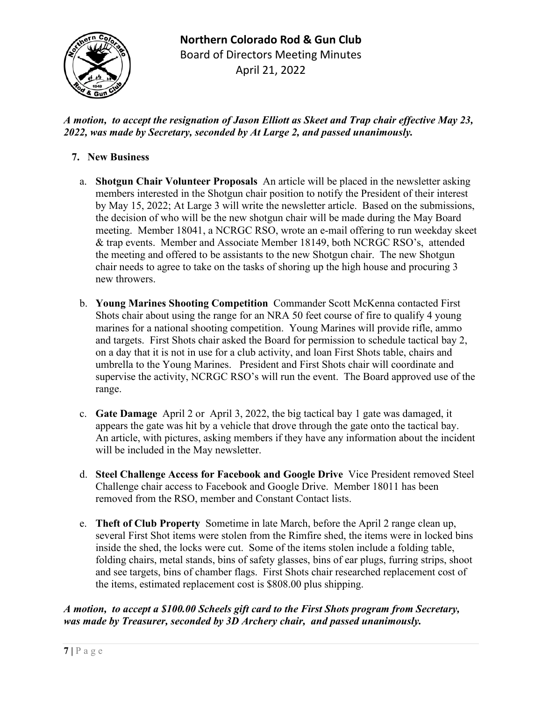

# *A motion, to accept the resignation of Jason Elliott as Skeet and Trap chair effective May 23, 2022, was made by Secretary, seconded by At Large 2, and passed unanimously.*

# **7. New Business**

- a. **Shotgun Chair Volunteer Proposals** An article will be placed in the newsletter asking members interested in the Shotgun chair position to notify the President of their interest by May 15, 2022; At Large 3 will write the newsletter article. Based on the submissions, the decision of who will be the new shotgun chair will be made during the May Board meeting. Member 18041, a NCRGC RSO, wrote an e-mail offering to run weekday skeet & trap events. Member and Associate Member 18149, both NCRGC RSO's, attended the meeting and offered to be assistants to the new Shotgun chair. The new Shotgun chair needs to agree to take on the tasks of shoring up the high house and procuring 3 new throwers.
- b. **Young Marines Shooting Competition** Commander Scott McKenna contacted First Shots chair about using the range for an NRA 50 feet course of fire to qualify 4 young marines for a national shooting competition. Young Marines will provide rifle, ammo and targets. First Shots chair asked the Board for permission to schedule tactical bay 2, on a day that it is not in use for a club activity, and loan First Shots table, chairs and umbrella to the Young Marines. President and First Shots chair will coordinate and supervise the activity, NCRGC RSO's will run the event. The Board approved use of the range.
- c. **Gate Damage** April 2 or April 3, 2022, the big tactical bay 1 gate was damaged, it appears the gate was hit by a vehicle that drove through the gate onto the tactical bay. An article, with pictures, asking members if they have any information about the incident will be included in the May newsletter.
- d. **Steel Challenge Access for Facebook and Google Drive** Vice President removed Steel Challenge chair access to Facebook and Google Drive. Member 18011 has been removed from the RSO, member and Constant Contact lists.
- e. **Theft of Club Property** Sometime in late March, before the April 2 range clean up, several First Shot items were stolen from the Rimfire shed, the items were in locked bins inside the shed, the locks were cut. Some of the items stolen include a folding table, folding chairs, metal stands, bins of safety glasses, bins of ear plugs, furring strips, shoot and see targets, bins of chamber flags. First Shots chair researched replacement cost of the items, estimated replacement cost is \$808.00 plus shipping.

# *A motion, to accept a \$100.00 Scheels gift card to the First Shots program from Secretary, was made by Treasurer, seconded by 3D Archery chair, and passed unanimously.*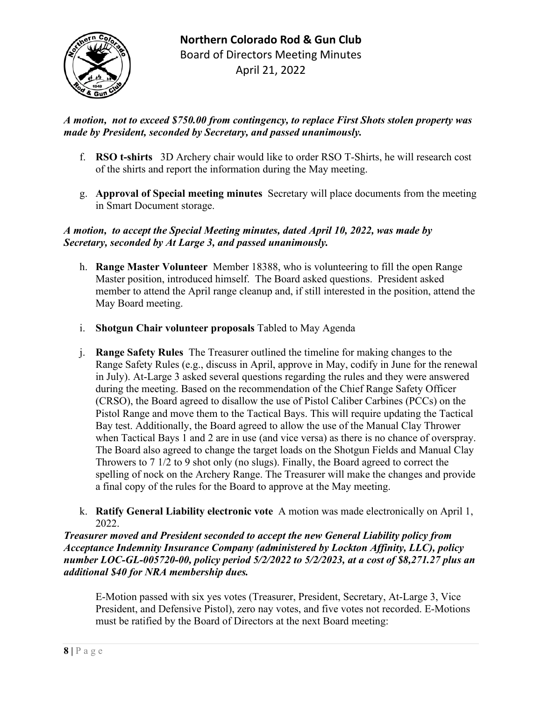

# *A motion, not to exceed \$750.00 from contingency, to replace First Shots stolen property was made by President, seconded by Secretary, and passed unanimously.*

- f. **RSO t-shirts** 3D Archery chair would like to order RSO T-Shirts, he will research cost of the shirts and report the information during the May meeting.
- g. **Approval of Special meeting minutes** Secretary will place documents from the meeting in Smart Document storage.

## *A motion, to accept the Special Meeting minutes, dated April 10, 2022, was made by Secretary, seconded by At Large 3, and passed unanimously.*

- h. **Range Master Volunteer** Member 18388, who is volunteering to fill the open Range Master position, introduced himself. The Board asked questions. President asked member to attend the April range cleanup and, if still interested in the position, attend the May Board meeting.
- i. **Shotgun Chair volunteer proposals** Tabled to May Agenda
- j. **Range Safety Rules** The Treasurer outlined the timeline for making changes to the Range Safety Rules (e.g., discuss in April, approve in May, codify in June for the renewal in July). At-Large 3 asked several questions regarding the rules and they were answered during the meeting. Based on the recommendation of the Chief Range Safety Officer (CRSO), the Board agreed to disallow the use of Pistol Caliber Carbines (PCCs) on the Pistol Range and move them to the Tactical Bays. This will require updating the Tactical Bay test. Additionally, the Board agreed to allow the use of the Manual Clay Thrower when Tactical Bays 1 and 2 are in use (and vice versa) as there is no chance of overspray. The Board also agreed to change the target loads on the Shotgun Fields and Manual Clay Throwers to 7 1/2 to 9 shot only (no slugs). Finally, the Board agreed to correct the spelling of nock on the Archery Range. The Treasurer will make the changes and provide a final copy of the rules for the Board to approve at the May meeting.
- k. **Ratify General Liability electronic vote** A motion was made electronically on April 1, 2022.

*Treasurer moved and President seconded to accept the new General Liability policy from Acceptance Indemnity Insurance Company (administered by Lockton Affinity, LLC), policy number LOC-GL-005720-00, policy period 5/2/2022 to 5/2/2023, at a cost of \$8,271.27 plus an additional \$40 for NRA membership dues.*

E-Motion passed with six yes votes (Treasurer, President, Secretary, At-Large 3, Vice President, and Defensive Pistol), zero nay votes, and five votes not recorded. E-Motions must be ratified by the Board of Directors at the next Board meeting: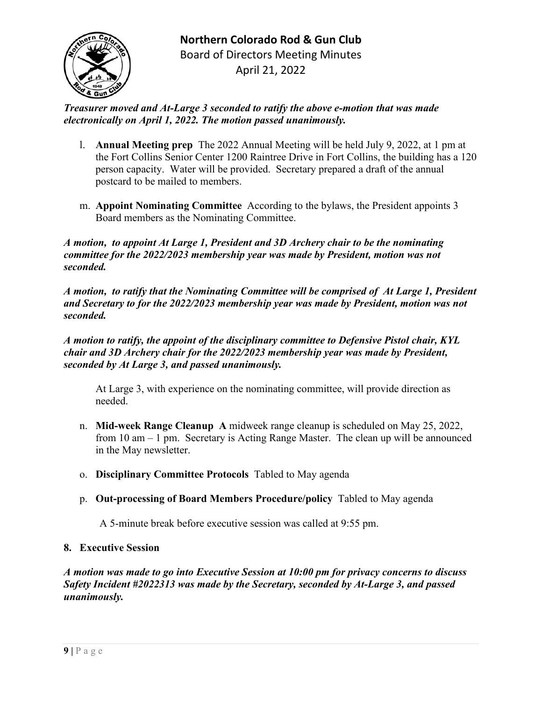

*Treasurer moved and At-Large 3 seconded to ratify the above e-motion that was made electronically on April 1, 2022. The motion passed unanimously.*

- l. **Annual Meeting prep** The 2022 Annual Meeting will be held July 9, 2022, at 1 pm at the Fort Collins Senior Center 1200 Raintree Drive in Fort Collins, the building has a 120 person capacity.Water will be provided.Secretary prepared a draft of the annual postcard to be mailed to members.
- m. **Appoint Nominating Committee** According to the bylaws, the President appoints 3 Board members as the Nominating Committee.

*A motion, to appoint At Large 1, President and 3D Archery chair to be the nominating committee for the 2022/2023 membership year was made by President, motion was not seconded.*

*A motion, to ratify that the Nominating Committee will be comprised of At Large 1, President and Secretary to for the 2022/2023 membership year was made by President, motion was not seconded.*

*A motion to ratify, the appoint of the disciplinary committee to Defensive Pistol chair, KYL chair and 3D Archery chair for the 2022/2023 membership year was made by President, seconded by At Large 3, and passed unanimously.*

At Large 3, with experience on the nominating committee, will provide direction as needed.

- n. **Mid-week Range Cleanup A** midweek range cleanup is scheduled on May 25, 2022, from 10 am – 1 pm. Secretary is Acting Range Master. The clean up will be announced in the May newsletter.
- o. **Disciplinary Committee Protocols** Tabled to May agenda
- p. **Out-processing of Board Members Procedure/policy** Tabled to May agenda

A 5-minute break before executive session was called at 9:55 pm.

## **8. Executive Session**

*A motion was made to go into Executive Session at 10:00 pm for privacy concerns to discuss Safety Incident #2022313 was made by the Secretary, seconded by At-Large 3, and passed unanimously.*